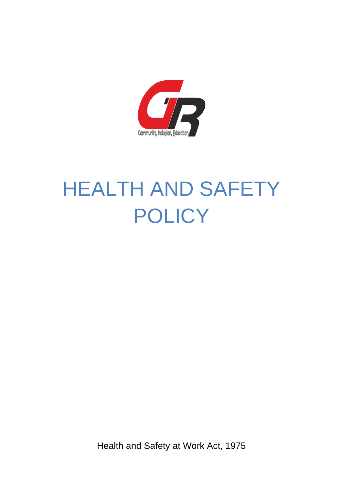

# HEALTH AND SAFETY **POLICY**

Health and Safety at Work Act, 1975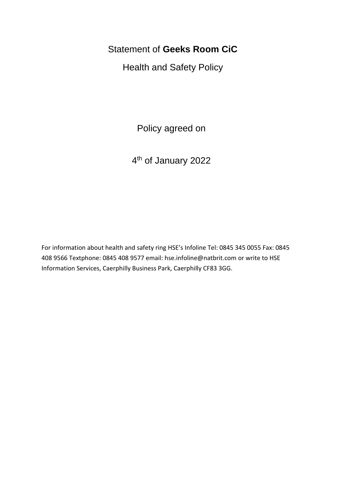# Statement of **Geeks Room CiC**

Health and Safety Policy

Policy agreed on

4<sup>th</sup> of January 2022

For information about health and safety ring HSE's Infoline Tel: 0845 345 0055 Fax: 0845 408 9566 Textphone: 0845 408 9577 email: hse.infoline@natbrit.com or write to HSE Information Services, Caerphilly Business Park, Caerphilly CF83 3GG.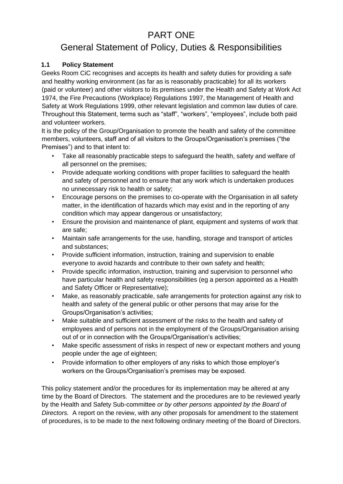# PART ONE

# General Statement of Policy, Duties & Responsibilities

# **1.1 Policy Statement**

Geeks Room CiC recognises and accepts its health and safety duties for providing a safe and healthy working environment (as far as is reasonably practicable) for all its workers (paid or volunteer) and other visitors to its premises under the Health and Safety at Work Act 1974, the Fire Precautions (Workplace) Regulations 1997, the Management of Health and Safety at Work Regulations 1999, other relevant legislation and common law duties of care. Throughout this Statement, terms such as "staff", "workers", "employees", include both paid and volunteer workers.

It is the policy of the Group/Organisation to promote the health and safety of the committee members, volunteers, staff and of all visitors to the Groups/Organisation's premises ("the Premises") and to that intent to:

- Take all reasonably practicable steps to safeguard the health, safety and welfare of all personnel on the premises;
- Provide adequate working conditions with proper facilities to safeguard the health and safety of personnel and to ensure that any work which is undertaken produces no unnecessary risk to health or safety;
- Encourage persons on the premises to co-operate with the Organisation in all safety matter, in the identification of hazards which may exist and in the reporting of any condition which may appear dangerous or unsatisfactory;
- Ensure the provision and maintenance of plant, equipment and systems of work that are safe;
- Maintain safe arrangements for the use, handling, storage and transport of articles and substances;
- Provide sufficient information, instruction, training and supervision to enable everyone to avoid hazards and contribute to their own safety and health;
- Provide specific information, instruction, training and supervision to personnel who have particular health and safety responsibilities (eg a person appointed as a Health and Safety Officer or Representative);
- Make, as reasonably practicable, safe arrangements for protection against any risk to health and safety of the general public or other persons that may arise for the Groups/Organisation's activities;
- Make suitable and sufficient assessment of the risks to the health and safety of employees and of persons not in the employment of the Groups/Organisation arising out of or in connection with the Groups/Organisation's activities;
- Make specific assessment of risks in respect of new or expectant mothers and young people under the age of eighteen;
- Provide information to other employers of any risks to which those employer's workers on the Groups/Organisation's premises may be exposed.

This policy statement and/or the procedures for its implementation may be altered at any time by the Board of Directors. The statement and the procedures are to be reviewed yearly by the Health and Safety Sub-committee *or by other persons appointed by the Board of Directors.* A report on the review, with any other proposals for amendment to the statement of procedures, is to be made to the next following ordinary meeting of the Board of Directors.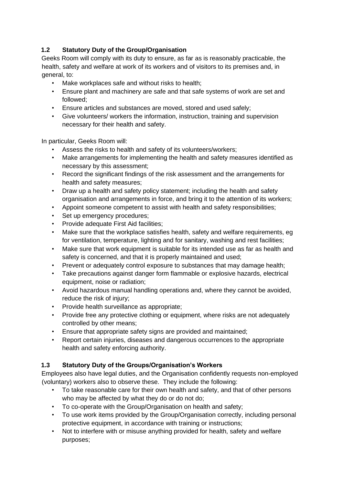# **1.2 Statutory Duty of the Group/Organisation**

Geeks Room will comply with its duty to ensure, as far as is reasonably practicable, the health, safety and welfare at work of its workers and of visitors to its premises and, in general, to:

- Make workplaces safe and without risks to health;
- Ensure plant and machinery are safe and that safe systems of work are set and followed;
- Ensure articles and substances are moved, stored and used safely;
- Give volunteers/ workers the information, instruction, training and supervision necessary for their health and safety.

In particular, Geeks Room will:

- Assess the risks to health and safety of its volunteers/workers;
- Make arrangements for implementing the health and safety measures identified as necessary by this assessment;
- Record the significant findings of the risk assessment and the arrangements for health and safety measures;
- Draw up a health and safety policy statement; including the health and safety organisation and arrangements in force, and bring it to the attention of its workers;
- Appoint someone competent to assist with health and safety responsibilities;
- Set up emergency procedures;
- Provide adequate First Aid facilities;
- Make sure that the workplace satisfies health, safety and welfare requirements, eg for ventilation, temperature, lighting and for sanitary, washing and rest facilities;
- Make sure that work equipment is suitable for its intended use as far as health and safety is concerned, and that it is properly maintained and used;
- Prevent or adequately control exposure to substances that may damage health;
- Take precautions against danger form flammable or explosive hazards, electrical equipment, noise or radiation;
- Avoid hazardous manual handling operations and, where they cannot be avoided, reduce the risk of injury;
- Provide health surveillance as appropriate;
- Provide free any protective clothing or equipment, where risks are not adequately controlled by other means;
- Ensure that appropriate safety signs are provided and maintained;
- Report certain injuries, diseases and dangerous occurrences to the appropriate health and safety enforcing authority.

# **1.3 Statutory Duty of the Groups/Organisation's Workers**

Employees also have legal duties, and the Organisation confidently requests non-employed (voluntary) workers also to observe these. They include the following:

- To take reasonable care for their own health and safety, and that of other persons who may be affected by what they do or do not do;
- To co-operate with the Group/Organisation on health and safety;
- To use work items provided by the Group/Organisation correctly, including personal protective equipment, in accordance with training or instructions;
- Not to interfere with or misuse anything provided for health, safety and welfare purposes;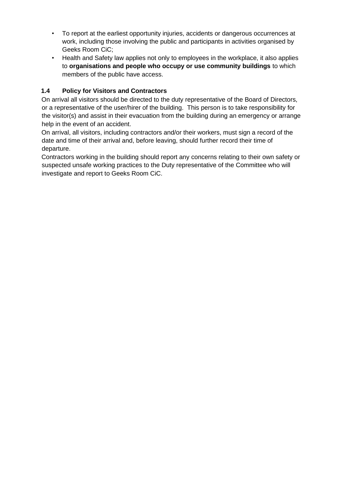- To report at the earliest opportunity injuries, accidents or dangerous occurrences at work, including those involving the public and participants in activities organised by Geeks Room CiC;
- Health and Safety law applies not only to employees in the workplace, it also applies to **organisations and people who occupy or use community buildings** to which members of the public have access.

# **1.4 Policy for Visitors and Contractors**

On arrival all visitors should be directed to the duty representative of the Board of Directors, or a representative of the user/hirer of the building. This person is to take responsibility for the visitor(s) and assist in their evacuation from the building during an emergency or arrange help in the event of an accident.

On arrival, all visitors, including contractors and/or their workers, must sign a record of the date and time of their arrival and, before leaving, should further record their time of departure.

Contractors working in the building should report any concerns relating to their own safety or suspected unsafe working practices to the Duty representative of the Committee who will investigate and report to Geeks Room CiC.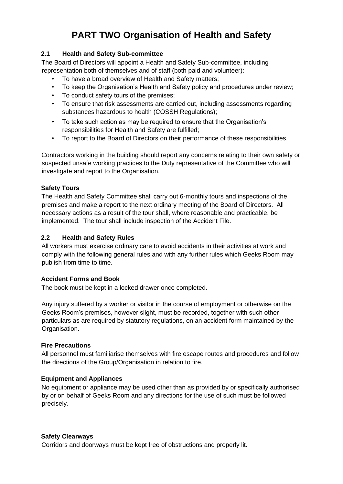# **PART TWO Organisation of Health and Safety**

#### **2.1 Health and Safety Sub-committee**

The Board of Directors will appoint a Health and Safety Sub-committee, including representation both of themselves and of staff (both paid and volunteer):

- To have a broad overview of Health and Safety matters;
- To keep the Organisation's Health and Safety policy and procedures under review;
- To conduct safety tours of the premises;
- To ensure that risk assessments are carried out, including assessments regarding substances hazardous to health (COSSH Regulations);
- To take such action as may be required to ensure that the Organisation's responsibilities for Health and Safety are fulfilled;
- To report to the Board of Directors on their performance of these responsibilities.

Contractors working in the building should report any concerns relating to their own safety or suspected unsafe working practices to the Duty representative of the Committee who will investigate and report to the Organisation.

#### **Safety Tours**

The Health and Safety Committee shall carry out 6-monthly tours and inspections of the premises and make a report to the next ordinary meeting of the Board of Directors. All necessary actions as a result of the tour shall, where reasonable and practicable, be implemented. The tour shall include inspection of the Accident File.

#### **2.2 Health and Safety Rules**

All workers must exercise ordinary care to avoid accidents in their activities at work and comply with the following general rules and with any further rules which Geeks Room may publish from time to time.

#### **Accident Forms and Book**

The book must be kept in a locked drawer once completed.

Any injury suffered by a worker or visitor in the course of employment or otherwise on the Geeks Room's premises, however slight, must be recorded, together with such other particulars as are required by statutory regulations, on an accident form maintained by the Organisation.

#### **Fire Precautions**

All personnel must familiarise themselves with fire escape routes and procedures and follow the directions of the Group/Organisation in relation to fire.

# **Equipment and Appliances**

No equipment or appliance may be used other than as provided by or specifically authorised by or on behalf of Geeks Room and any directions for the use of such must be followed precisely.

#### **Safety Clearways**

Corridors and doorways must be kept free of obstructions and properly lit.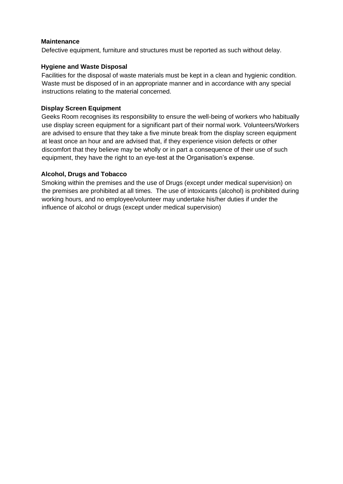#### **Maintenance**

Defective equipment, furniture and structures must be reported as such without delay.

#### **Hygiene and Waste Disposal**

Facilities for the disposal of waste materials must be kept in a clean and hygienic condition. Waste must be disposed of in an appropriate manner and in accordance with any special instructions relating to the material concerned.

#### **Display Screen Equipment**

Geeks Room recognises its responsibility to ensure the well-being of workers who habitually use display screen equipment for a significant part of their normal work. Volunteers/Workers are advised to ensure that they take a five minute break from the display screen equipment at least once an hour and are advised that, if they experience vision defects or other discomfort that they believe may be wholly or in part a consequence of their use of such equipment, they have the right to an eye-test at the Organisation's expense.

#### **Alcohol, Drugs and Tobacco**

Smoking within the premises and the use of Drugs (except under medical supervision) on the premises are prohibited at all times. The use of intoxicants (alcohol) is prohibited during working hours, and no employee/volunteer may undertake his/her duties if under the influence of alcohol or drugs (except under medical supervision)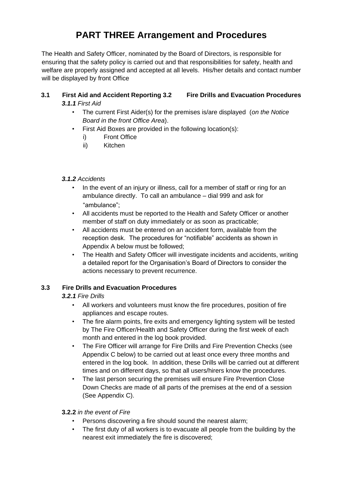# **PART THREE Arrangement and Procedures**

The Health and Safety Officer, nominated by the Board of Directors, is responsible for ensuring that the safety policy is carried out and that responsibilities for safety, health and welfare are properly assigned and accepted at all levels. His/her details and contact number will be displayed by front Office

#### **3.1 First Aid and Accident Reporting 3.2 Fire Drills and Evacuation Procedures**  *3.1.1 First Aid*

- The current First Aider(s) for the premises is/are displayed (*on the Notice Board in the front Office Area*).
- First Aid Boxes are provided in the following location(s):
	- i) Front Office
	- ii) Kitchen
- *3.1.2 Accidents* 
	- In the event of an injury or illness, call for a member of staff or ring for an ambulance directly. To call an ambulance – dial 999 and ask for "ambulance";
	- All accidents must be reported to the Health and Safety Officer or another member of staff on duty immediately or as soon as practicable;
	- All accidents must be entered on an accident form, available from the reception desk. The procedures for "notifiable" accidents as shown in Appendix A below must be followed;
	- The Health and Safety Officer will investigate incidents and accidents, writing a detailed report for the Organisation's Board of Directors to consider the actions necessary to prevent recurrence.

# **3.3 Fire Drills and Evacuation Procedures**

# *3.2.1 Fire Drills*

- All workers and volunteers must know the fire procedures, position of fire appliances and escape routes.
- The fire alarm points, fire exits and emergency lighting system will be tested by The Fire Officer/Health and Safety Officer during the first week of each month and entered in the log book provided.
- The Fire Officer will arrange for Fire Drills and Fire Prevention Checks (see Appendix C below) to be carried out at least once every three months and entered in the log book. In addition, these Drills will be carried out at different times and on different days, so that all users/hirers know the procedures.
- The last person securing the premises will ensure Fire Prevention Close Down Checks are made of all parts of the premises at the end of a session (See Appendix C).

# **3.2.2** *in the event of Fire*

- Persons discovering a fire should sound the nearest alarm;
- The first duty of all workers is to evacuate all people from the building by the nearest exit immediately the fire is discovered;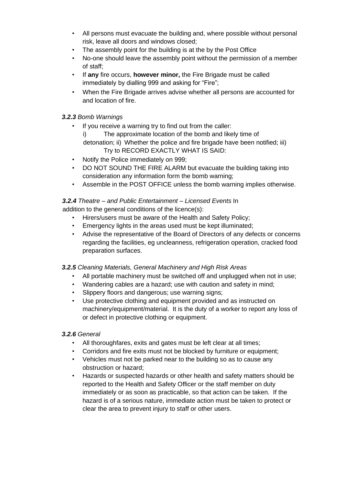- All persons must evacuate the building and, where possible without personal risk, leave all doors and windows closed;
- The assembly point for the building is at the by the Post Office
- No-one should leave the assembly point without the permission of a member of staff;
- If **any** fire occurs, **however minor,** the Fire Brigade must be called immediately by dialling 999 and asking for "Fire";
- When the Fire Brigade arrives advise whether all persons are accounted for and location of fire.

# *3.2.3 Bomb Warnings*

- If you receive a warning try to find out from the caller:
	- The approximate location of the bomb and likely time of detonation; ii) Whether the police and fire brigade have been notified; iii) Try to RECORD EXACTLY WHAT IS SAID:
- Notify the Police immediately on 999;
- DO NOT SOUND THE FIRE ALARM but evacuate the building taking into consideration any information form the bomb warning;
- Assemble in the POST OFFICE unless the bomb warning implies otherwise.

# *3.2.4 Theatre – and Public Entertainment – Licensed Events* In

addition to the general conditions of the licence(s):

- Hirers/users must be aware of the Health and Safety Policy;
- Emergency lights in the areas used must be kept illuminated;
- Advise the representative of the Board of Directors of any defects or concerns regarding the facilities, eg uncleanness, refrigeration operation, cracked food preparation surfaces.

# *3.2.5 Cleaning Materials, General Machinery and High Risk Areas*

- All portable machinery must be switched off and unplugged when not in use:
- Wandering cables are a hazard; use with caution and safety in mind;
- Slippery floors and dangerous; use warning signs;
- Use protective clothing and equipment provided and as instructed on machinery/equipment/material. It is the duty of a worker to report any loss of or defect in protective clothing or equipment.

# *3.2.6 General*

- All thoroughfares, exits and gates must be left clear at all times;
- Corridors and fire exits must not be blocked by furniture or equipment;
- Vehicles must not be parked near to the building so as to cause any obstruction or hazard;
- Hazards or suspected hazards or other health and safety matters should be reported to the Health and Safety Officer or the staff member on duty immediately or as soon as practicable, so that action can be taken. If the hazard is of a serious nature, immediate action must be taken to protect or clear the area to prevent injury to staff or other users.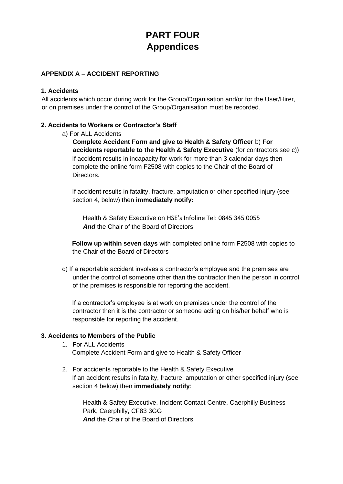# **PART FOUR Appendices**

# **APPENDIX A – ACCIDENT REPORTING**

#### **1. Accidents**

All accidents which occur during work for the Group/Organisation and/or for the User/Hirer, or on premises under the control of the Group/Organisation must be recorded.

#### **2. Accidents to Workers or Contractor's Staff**

a) For ALL Accidents

**Complete Accident Form and give to Health & Safety Officer** b) **For accidents reportable to the Health & Safety Executive** (for contractors see c)) If accident results in incapacity for work for more than 3 calendar days then complete the online form F2508 with copies to the Chair of the Board of Directors.

If accident results in fatality, fracture, amputation or other specified injury (see section 4, below) then **immediately notify:** 

Health & Safety Executive on HSE's Infoline Tel: 0845 345 0055 *And* the Chair of the Board of Directors

**Follow up within seven days** with completed online form F2508 with copies to the Chair of the Board of Directors

c) If a reportable accident involves a contractor's employee and the premises are under the control of someone other than the contractor then the person in control of the premises is responsible for reporting the accident.

If a contractor's employee is at work on premises under the control of the contractor then it is the contractor or someone acting on his/her behalf who is responsible for reporting the accident.

#### **3. Accidents to Members of the Public**

- 1. For ALL Accidents Complete Accident Form and give to Health & Safety Officer
- 2. For accidents reportable to the Health & Safety Executive If an accident results in fatality, fracture, amputation or other specified injury (see section 4 below) then **immediately notify**:

Health & Safety Executive, Incident Contact Centre, Caerphilly Business Park, Caerphilly, CF83 3GG *And* the Chair of the Board of Directors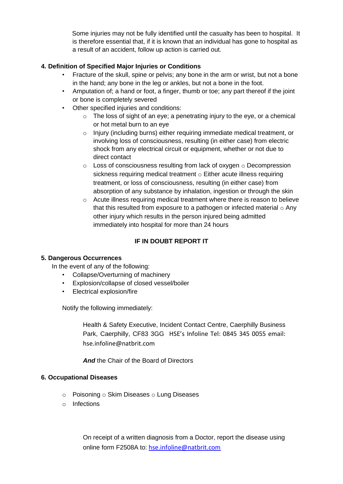Some injuries may not be fully identified until the casualty has been to hospital. It is therefore essential that, if it is known that an individual has gone to hospital as a result of an accident, follow up action is carried out.

# **4. Definition of Specified Major Injuries or Conditions**

- Fracture of the skull, spine or pelvis; any bone in the arm or wrist, but not a bone in the hand; any bone in the leg or ankles, but not a bone in the foot.
- Amputation of; a hand or foot, a finger, thumb or toe; any part thereof if the joint or bone is completely severed
- Other specified injuries and conditions:
	- o The loss of sight of an eye; a penetrating injury to the eye, or a chemical or hot metal burn to an eye
	- o Injury (including burns) either requiring immediate medical treatment, or involving loss of consciousness, resulting (in either case) from electric shock from any electrical circuit or equipment, whether or not due to direct contact
	- $\circ$  Loss of consciousness resulting from lack of oxygen  $\circ$  Decompression sickness requiring medical treatment o Either acute illness requiring treatment, or loss of consciousness, resulting (in either case) from absorption of any substance by inhalation, ingestion or through the skin
	- $\circ$  Acute illness requiring medical treatment where there is reason to believe that this resulted from exposure to a pathogen or infected material  $\circ$  Any other injury which results in the person injured being admitted immediately into hospital for more than 24 hours

# **IF IN DOUBT REPORT IT**

# **5. Dangerous Occurrences**

In the event of any of the following:

- Collapse/Overturning of machinery
- Explosion/collapse of closed vessel/boiler
- Electrical explosion/fire

Notify the following immediately:

Health & Safety Executive, Incident Contact Centre, Caerphilly Business Park, Caerphilly, CF83 3GG HSE's Infoline Tel: 0845 345 0055 email: hse.infoline@natbrit.com

*And* the Chair of the Board of Directors

#### **6. Occupational Diseases**

- o Poisoning o Skim Diseases o Lung Diseases
- o Infections

On receipt of a written diagnosis from a Doctor, report the disease using online form F2508A to: hse.infoline@natbrit.com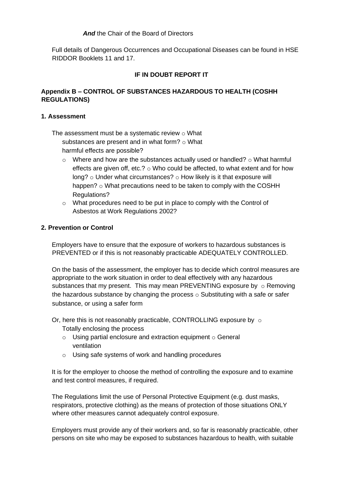#### *And* the Chair of the Board of Directors

Full details of Dangerous Occurrences and Occupational Diseases can be found in HSE RIDDOR Booklets 11 and 17.

# **IF IN DOUBT REPORT IT**

#### **Appendix B – CONTROL OF SUBSTANCES HAZARDOUS TO HEALTH (COSHH REGULATIONS)**

#### **1. Assessment**

The assessment must be a systematic review  $\circ$  What substances are present and in what form?  $\circ$  What

harmful effects are possible?

- $\circ$  Where and how are the substances actually used or handled?  $\circ$  What harmful effects are given off, etc.?  $\circ$  Who could be affected, to what extent and for how long? o Under what circumstances? o How likely is it that exposure will happen? o What precautions need to be taken to comply with the COSHH Regulations?
- o What procedures need to be put in place to comply with the Control of Asbestos at Work Regulations 2002?

#### **2. Prevention or Control**

Employers have to ensure that the exposure of workers to hazardous substances is PREVENTED or if this is not reasonably practicable ADEQUATELY CONTROLLED.

On the basis of the assessment, the employer has to decide which control measures are appropriate to the work situation in order to deal effectively with any hazardous substances that my present. This may mean PREVENTING exposure by  $\circ$  Removing the hazardous substance by changing the process  $\circ$  Substituting with a safe or safer substance, or using a safer form

- Or, here this is not reasonably practicable, CONTROLLING exposure by  $\circ$ Totally enclosing the process
	- $\circ$  Using partial enclosure and extraction equipment  $\circ$  General ventilation
	- o Using safe systems of work and handling procedures

It is for the employer to choose the method of controlling the exposure and to examine and test control measures, if required.

The Regulations limit the use of Personal Protective Equipment (e.g. dust masks, respirators, protective clothing) as the means of protection of those situations ONLY where other measures cannot adequately control exposure.

Employers must provide any of their workers and, so far is reasonably practicable, other persons on site who may be exposed to substances hazardous to health, with suitable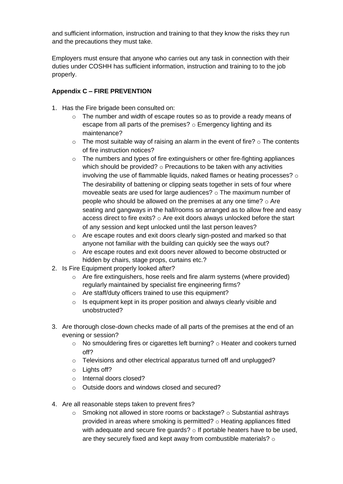and sufficient information, instruction and training to that they know the risks they run and the precautions they must take.

Employers must ensure that anyone who carries out any task in connection with their duties under COSHH has sufficient information, instruction and training to to the job properly.

# **Appendix C – FIRE PREVENTION**

- 1. Has the Fire brigade been consulted on:
	- o The number and width of escape routes so as to provide a ready means of escape from all parts of the premises? o Emergency lighting and its maintenance?
	- $\circ$  The most suitable way of raising an alarm in the event of fire?  $\circ$  The contents of fire instruction notices?
	- o The numbers and types of fire extinguishers or other fire-fighting appliances which should be provided?  $\circ$  Precautions to be taken with any activities involving the use of flammable liquids, naked flames or heating processes? o The desirability of battening or clipping seats together in sets of four where moveable seats are used for large audiences? o The maximum number of people who should be allowed on the premises at any one time?  $\circ$  Are seating and gangways in the hall/rooms so arranged as to allow free and easy access direct to fire exits? o Are exit doors always unlocked before the start of any session and kept unlocked until the last person leaves?
	- o Are escape routes and exit doors clearly sign-posted and marked so that anyone not familiar with the building can quickly see the ways out?
	- o Are escape routes and exit doors never allowed to become obstructed or hidden by chairs, stage props, curtains etc.?
- 2. Is Fire Equipment properly looked after?
	- $\circ$  Are fire extinguishers, hose reels and fire alarm systems (where provided) regularly maintained by specialist fire engineering firms?
	- o Are staff/duty officers trained to use this equipment?
	- o Is equipment kept in its proper position and always clearly visible and unobstructed?
- 3. Are thorough close-down checks made of all parts of the premises at the end of an evening or session?
	- $\circ$  No smouldering fires or cigarettes left burning?  $\circ$  Heater and cookers turned off?
	- o Televisions and other electrical apparatus turned off and unplugged?
	- $\circ$  Lights off?
	- o Internal doors closed?
	- o Outside doors and windows closed and secured?
- 4. Are all reasonable steps taken to prevent fires?
	- $\circ$  Smoking not allowed in store rooms or backstage?  $\circ$  Substantial ashtrays provided in areas where smoking is permitted? o Heating appliances fitted with adequate and secure fire guards?  $\circ$  If portable heaters have to be used, are they securely fixed and kept away from combustible materials? o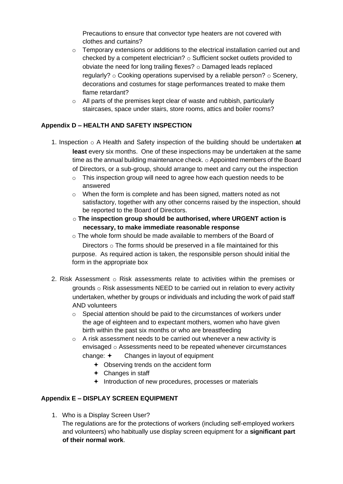Precautions to ensure that convector type heaters are not covered with clothes and curtains?

- o Temporary extensions or additions to the electrical installation carried out and checked by a competent electrician?  $\circ$  Sufficient socket outlets provided to obviate the need for long trailing flexes?  $\circ$  Damaged leads replaced regularly?  $\circ$  Cooking operations supervised by a reliable person?  $\circ$  Scenery, decorations and costumes for stage performances treated to make them flame retardant?
- o All parts of the premises kept clear of waste and rubbish, particularly staircases, space under stairs, store rooms, attics and boiler rooms?

# **Appendix D – HEALTH AND SAFETY INSPECTION**

- 1. Inspection o A Health and Safety inspection of the building should be undertaken **at least** every six months. One of these inspections may be undertaken at the same time as the annual building maintenance check. o Appointed members of the Board of Directors, or a sub-group, should arrange to meet and carry out the inspection
	- $\circ$  This inspection group will need to agree how each question needs to be answered
	- $\circ$  When the form is complete and has been signed, matters noted as not satisfactory, together with any other concerns raised by the inspection, should be reported to the Board of Directors.
	- o **The inspection group should be authorised, where URGENT action is necessary, to make immediate reasonable response**
	- o The whole form should be made available to members of the Board of Directors  $\circ$  The forms should be preserved in a file maintained for this purpose. As required action is taken, the responsible person should initial the form in the appropriate box
- 2. Risk Assessment  $\circ$  Risk assessments relate to activities within the premises or grounds o Risk assessments NEED to be carried out in relation to every activity undertaken, whether by groups or individuals and including the work of paid staff AND volunteers
	- $\circ$  Special attention should be paid to the circumstances of workers under the age of eighteen and to expectant mothers, women who have given birth within the past six months or who are breastfeeding
	- o A risk assessment needs to be carried out whenever a new activity is envisaged o Assessments need to be repeated whenever circumstances change:  $\div$  Changes in layout of equipment
		- + Observing trends on the accident form
		- Changes in staff
		- $+$  Introduction of new procedures, processes or materials

# **Appendix E – DISPLAY SCREEN EQUIPMENT**

1. Who is a Display Screen User?

The regulations are for the protections of workers (including self-employed workers and volunteers) who habitually use display screen equipment for a **significant part of their normal work**.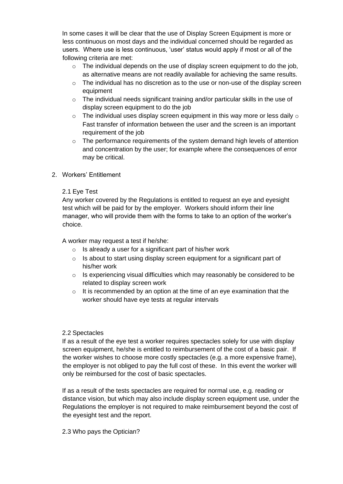In some cases it will be clear that the use of Display Screen Equipment is more or less continuous on most days and the individual concerned should be regarded as users. Where use is less continuous, 'user' status would apply if most or all of the following criteria are met:

- $\circ$  The individual depends on the use of display screen equipment to do the job, as alternative means are not readily available for achieving the same results.
- $\circ$  The individual has no discretion as to the use or non-use of the display screen equipment
- $\circ$  The individual needs significant training and/or particular skills in the use of display screen equipment to do the job
- $\circ$  The individual uses display screen equipment in this way more or less daily  $\circ$ Fast transfer of information between the user and the screen is an important requirement of the job
- o The performance requirements of the system demand high levels of attention and concentration by the user; for example where the consequences of error may be critical.
- 2. Workers' Entitlement

# 2.1 Eye Test

Any worker covered by the Regulations is entitled to request an eye and eyesight test which will be paid for by the employer. Workers should inform their line manager, who will provide them with the forms to take to an option of the worker's choice.

A worker may request a test if he/she:

- $\circ$  Is already a user for a significant part of his/her work
- $\circ$  Is about to start using display screen equipment for a significant part of his/her work
- $\circ$  Is experiencing visual difficulties which may reasonably be considered to be related to display screen work
- $\circ$  It is recommended by an option at the time of an eye examination that the worker should have eye tests at regular intervals

#### 2.2 Spectacles

If as a result of the eye test a worker requires spectacles solely for use with display screen equipment, he/she is entitled to reimbursement of the cost of a basic pair. If the worker wishes to choose more costly spectacles (e.g. a more expensive frame), the employer is not obliged to pay the full cost of these. In this event the worker will only be reimbursed for the cost of basic spectacles.

If as a result of the tests spectacles are required for normal use, e.g. reading or distance vision, but which may also include display screen equipment use, under the Regulations the employer is not required to make reimbursement beyond the cost of the eyesight test and the report.

#### 2.3 Who pays the Optician?